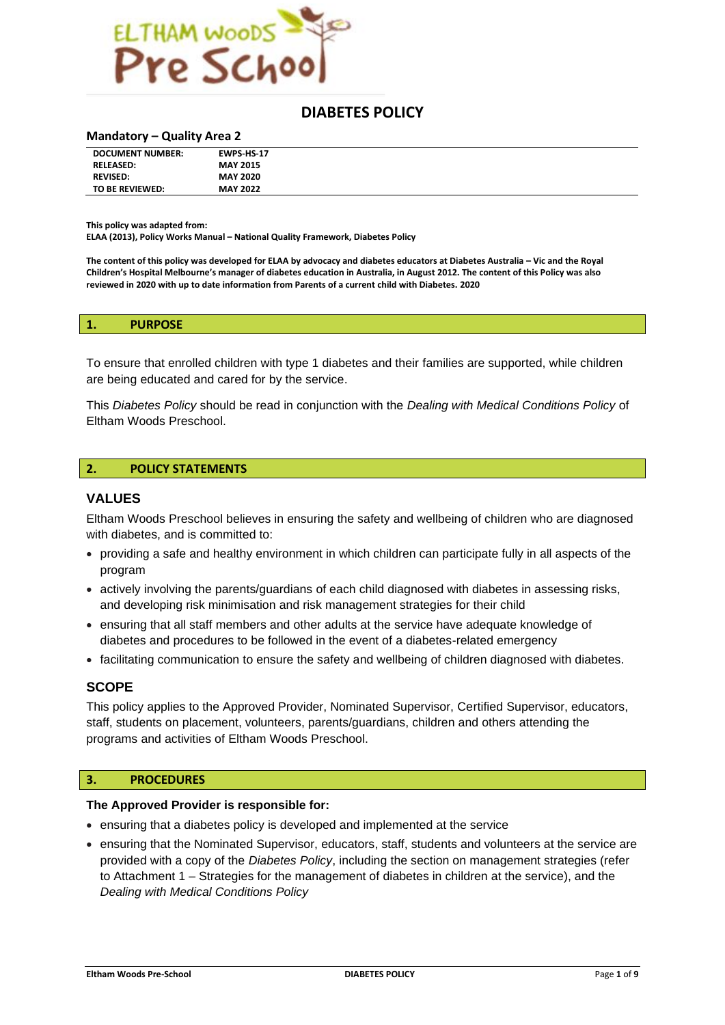

# **DIABETES POLICY**

#### **Mandatory – Quality Area 2**

| <b>DOCUMENT NUMBER:</b> | <b>EWPS HS 17</b> |  |
|-------------------------|-------------------|--|
| <b>RELEASED:</b>        | <b>MAY 2015</b>   |  |
| <b>REVISED:</b>         | <b>MAY 2020</b>   |  |
| TO BE REVIEWED:         | <b>MAY 2022</b>   |  |

**This policy was adapted from:**

**ELAA (2013), Policy Works Manual – National Quality Framework, Diabetes Policy**

**The content of this policy was developed for ELAA by advocacy and diabetes educators at Diabetes Australia – Vic and the Royal Children's Hospital Melbourne's manager of diabetes education in Australia, in August 2012. The content of this Policy was also reviewed in 2020 with up to date information from Parents of a current child with Diabetes. 2020**

#### **1. PURPOSE**

To ensure that enrolled children with type 1 diabetes and their families are supported, while children are being educated and cared for by the service.

This *Diabetes Policy* should be read in conjunction with the *Dealing with Medical Conditions Policy* of Eltham Woods Preschool.

#### **2. POLICY STATEMENTS**

#### **VALUES**

Eltham Woods Preschool believes in ensuring the safety and wellbeing of children who are diagnosed with diabetes, and is committed to:

- providing a safe and healthy environment in which children can participate fully in all aspects of the program
- actively involving the parents/guardians of each child diagnosed with diabetes in assessing risks, and developing risk minimisation and risk management strategies for their child
- ensuring that all staff members and other adults at the service have adequate knowledge of diabetes and procedures to be followed in the event of a diabetes-related emergency
- facilitating communication to ensure the safety and wellbeing of children diagnosed with diabetes.

#### **SCOPE**

This policy applies to the Approved Provider, Nominated Supervisor, Certified Supervisor, educators, staff, students on placement, volunteers, parents/guardians, children and others attending the programs and activities of Eltham Woods Preschool.

#### **3. PROCEDURES**

#### **The Approved Provider is responsible for:**

- ensuring that a diabetes policy is developed and implemented at the service
- ensuring that the Nominated Supervisor, educators, staff, students and volunteers at the service are provided with a copy of the *Diabetes Policy*, including the section on management strategies (refer to Attachment 1 – Strategies for the management of diabetes in children at the service), and the *Dealing with Medical Conditions Policy*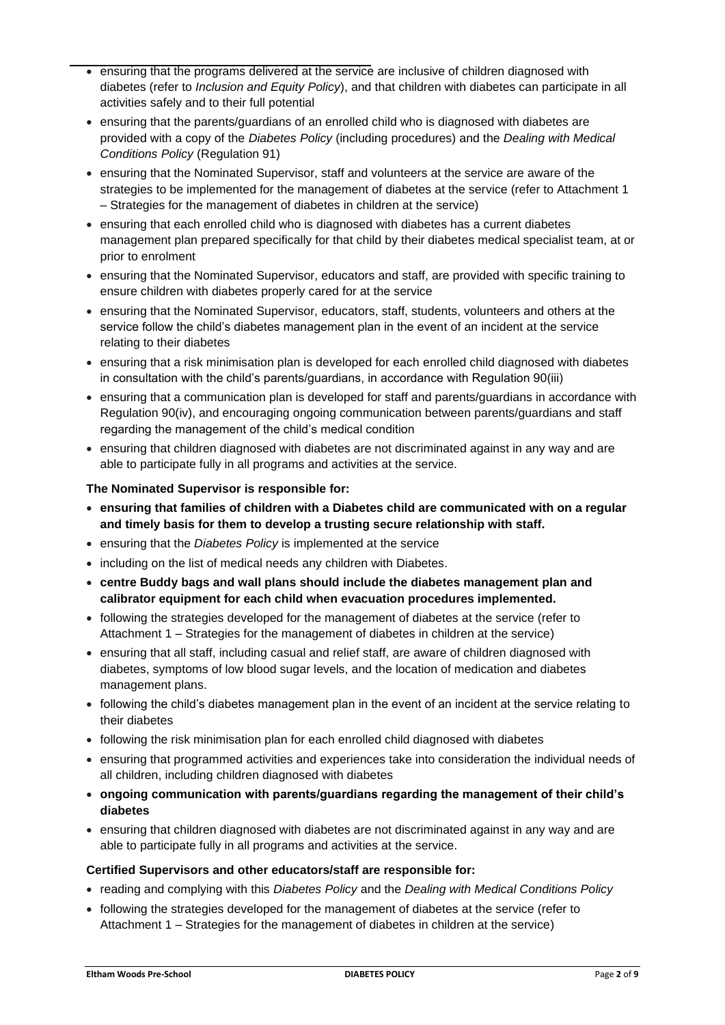- ensuring that the programs delivered at the service are inclusive of children diagnosed with diabetes (refer to *Inclusion and Equity Policy*), and that children with diabetes can participate in all activities safely and to their full potential
- ensuring that the parents/guardians of an enrolled child who is diagnosed with diabetes are provided with a copy of the *Diabetes Policy* (including procedures) and the *Dealing with Medical Conditions Policy* (Regulation 91)
- ensuring that the Nominated Supervisor, staff and volunteers at the service are aware of the strategies to be implemented for the management of diabetes at the service (refer to Attachment 1 – Strategies for the management of diabetes in children at the service)
- ensuring that each enrolled child who is diagnosed with diabetes has a current diabetes management plan prepared specifically for that child by their diabetes medical specialist team, at or prior to enrolment
- ensuring that the Nominated Supervisor, educators and staff, are provided with specific training to ensure children with diabetes properly cared for at the service
- ensuring that the Nominated Supervisor, educators, staff, students, volunteers and others at the service follow the child's diabetes management plan in the event of an incident at the service relating to their diabetes
- ensuring that a risk minimisation plan is developed for each enrolled child diagnosed with diabetes in consultation with the child's parents/guardians, in accordance with Regulation 90(iii)
- ensuring that a communication plan is developed for staff and parents/guardians in accordance with Regulation 90(iv), and encouraging ongoing communication between parents/guardians and staff regarding the management of the child's medical condition
- ensuring that children diagnosed with diabetes are not discriminated against in any way and are able to participate fully in all programs and activities at the service.

## **The Nominated Supervisor is responsible for:**

- **ensuring that families of children with a Diabetes child are communicated with on a regular and timely basis for them to develop a trusting secure relationship with staff.**
- ensuring that the *Diabetes Policy* is implemented at the service
- including on the list of medical needs any children with Diabetes.
- **centre Buddy bags and wall plans should include the diabetes management plan and calibrator equipment for each child when evacuation procedures implemented.**
- following the strategies developed for the management of diabetes at the service (refer to Attachment 1 – Strategies for the management of diabetes in children at the service)
- ensuring that all staff, including casual and relief staff, are aware of children diagnosed with diabetes, symptoms of low blood sugar levels, and the location of medication and diabetes management plans.
- following the child's diabetes management plan in the event of an incident at the service relating to their diabetes
- following the risk minimisation plan for each enrolled child diagnosed with diabetes
- ensuring that programmed activities and experiences take into consideration the individual needs of all children, including children diagnosed with diabetes
- **ongoing communication with parents/guardians regarding the management of their child's diabetes**
- ensuring that children diagnosed with diabetes are not discriminated against in any way and are able to participate fully in all programs and activities at the service.

## **Certified Supervisors and other educators/staff are responsible for:**

- reading and complying with this *Diabetes Policy* and the *Dealing with Medical Conditions Policy*
- following the strategies developed for the management of diabetes at the service (refer to Attachment 1 – Strategies for the management of diabetes in children at the service)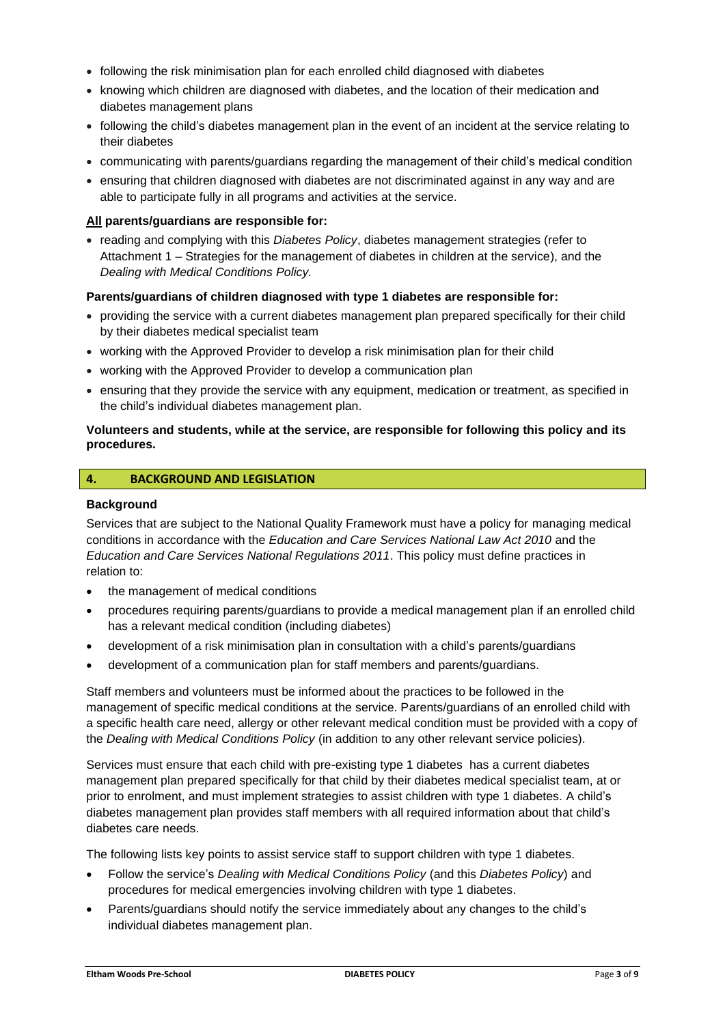- following the risk minimisation plan for each enrolled child diagnosed with diabetes
- knowing which children are diagnosed with diabetes, and the location of their medication and diabetes management plans
- following the child's diabetes management plan in the event of an incident at the service relating to their diabetes
- communicating with parents/guardians regarding the management of their child's medical condition
- ensuring that children diagnosed with diabetes are not discriminated against in any way and are able to participate fully in all programs and activities at the service.

#### **All parents/guardians are responsible for:**

• reading and complying with this *Diabetes Policy*, diabetes management strategies (refer to Attachment 1 – Strategies for the management of diabetes in children at the service), and the *Dealing with Medical Conditions Policy.*

#### **Parents/guardians of children diagnosed with type 1 diabetes are responsible for:**

- providing the service with a current diabetes management plan prepared specifically for their child by their diabetes medical specialist team
- working with the Approved Provider to develop a risk minimisation plan for their child
- working with the Approved Provider to develop a communication plan
- ensuring that they provide the service with any equipment, medication or treatment, as specified in the child's individual diabetes management plan.

#### **Volunteers and students, while at the service, are responsible for following this policy and its procedures.**

## **4. BACKGROUND AND LEGISLATION**

#### **Background**

Services that are subject to the National Quality Framework must have a policy for managing medical conditions in accordance with the *Education and Care Services National Law Act 2010* and the *Education and Care Services National Regulations 2011*. This policy must define practices in relation to:

- the management of medical conditions
- procedures requiring parents/guardians to provide a medical management plan if an enrolled child has a relevant medical condition (including diabetes)
- development of a risk minimisation plan in consultation with a child's parents/guardians
- development of a communication plan for staff members and parents/guardians.

Staff members and volunteers must be informed about the practices to be followed in the management of specific medical conditions at the service. Parents/guardians of an enrolled child with a specific health care need, allergy or other relevant medical condition must be provided with a copy of the *Dealing with Medical Conditions Policy* (in addition to any other relevant service policies).

Services must ensure that each child with pre-existing type 1 diabetes has a current diabetes management plan prepared specifically for that child by their diabetes medical specialist team, at or prior to enrolment, and must implement strategies to assist children with type 1 diabetes. A child's diabetes management plan provides staff members with all required information about that child's diabetes care needs.

The following lists key points to assist service staff to support children with type 1 diabetes.

- Follow the service's *Dealing with Medical Conditions Policy* (and this *Diabetes Policy*) and procedures for medical emergencies involving children with type 1 diabetes.
- Parents/guardians should notify the service immediately about any changes to the child's individual diabetes management plan.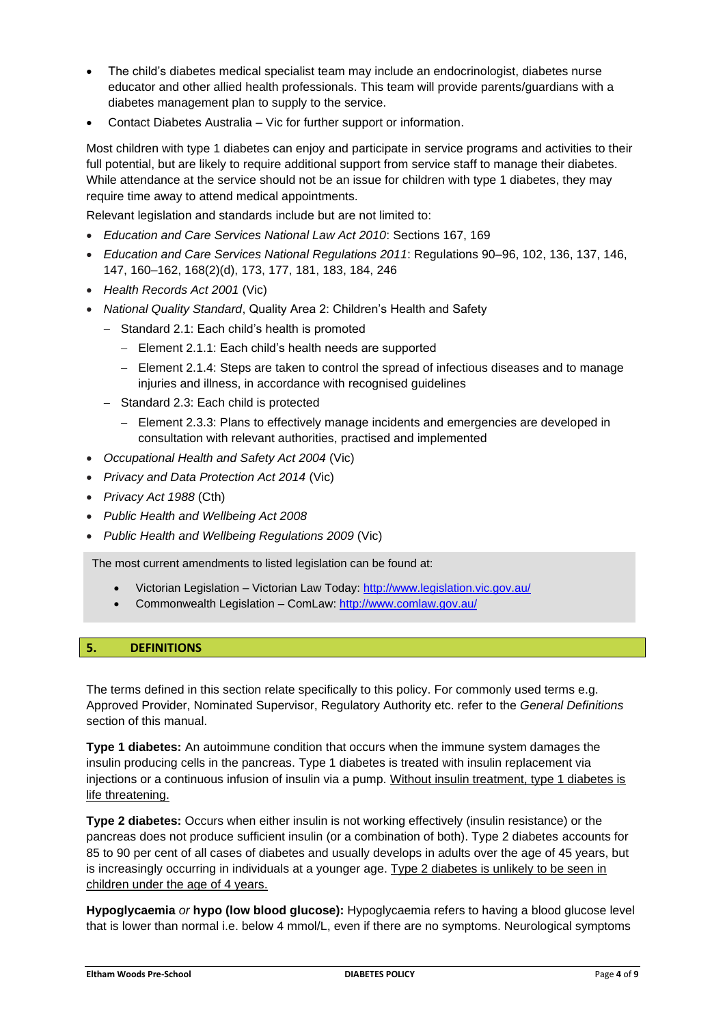- The child's diabetes medical specialist team may include an endocrinologist, diabetes nurse educator and other allied health professionals. This team will provide parents/guardians with a diabetes management plan to supply to the service.
- Contact Diabetes Australia Vic for further support or information.

Most children with type 1 diabetes can enjoy and participate in service programs and activities to their full potential, but are likely to require additional support from service staff to manage their diabetes. While attendance at the service should not be an issue for children with type 1 diabetes, they may require time away to attend medical appointments.

Relevant legislation and standards include but are not limited to:

- *Education and Care Services National Law Act 2010*: Sections 167, 169
- *Education and Care Services National Regulations 2011*: Regulations 90–96, 102, 136, 137, 146, 147, 160–162, 168(2)(d), 173, 177, 181, 183, 184, 246
- *Health Records Act 2001* (Vic)
- *National Quality Standard*, Quality Area 2: Children's Health and Safety
	- − Standard 2.1: Each child's health is promoted
		- − Element 2.1.1: Each child's health needs are supported
		- − Element 2.1.4: Steps are taken to control the spread of infectious diseases and to manage injuries and illness, in accordance with recognised guidelines
	- − Standard 2.3: Each child is protected
		- − Element 2.3.3: Plans to effectively manage incidents and emergencies are developed in consultation with relevant authorities, practised and implemented
- *Occupational Health and Safety Act 2004* (Vic)
- *Privacy and Data Protection Act 2014* (Vic)
- *Privacy Act 1988* (Cth)
- *Public Health and Wellbeing Act 2008*
- *Public Health and Wellbeing Regulations 2009* (Vic)

The most current amendments to listed legislation can be found at:

- Victorian Legislation Victorian Law Today:<http://www.legislation.vic.gov.au/>
- Commonwealth Legislation ComLaw:<http://www.comlaw.gov.au/>

#### **5. DEFINITIONS**

The terms defined in this section relate specifically to this policy. For commonly used terms e.g. Approved Provider, Nominated Supervisor, Regulatory Authority etc. refer to the *General Definitions* section of this manual.

**Type 1 diabetes:** An autoimmune condition that occurs when the immune system damages the insulin producing cells in the pancreas. Type 1 diabetes is treated with insulin replacement via injections or a continuous infusion of insulin via a pump. Without insulin treatment, type 1 diabetes is life threatening.

**Type 2 diabetes:** Occurs when either insulin is not working effectively (insulin resistance) or the pancreas does not produce sufficient insulin (or a combination of both). Type 2 diabetes accounts for 85 to 90 per cent of all cases of diabetes and usually develops in adults over the age of 45 years, but is increasingly occurring in individuals at a younger age. Type 2 diabetes is unlikely to be seen in children under the age of 4 years.

**Hypoglycaemia** *or* **hypo (low blood glucose):** Hypoglycaemia refers to having a blood glucose level that is lower than normal i.e. below 4 mmol/L, even if there are no symptoms. Neurological symptoms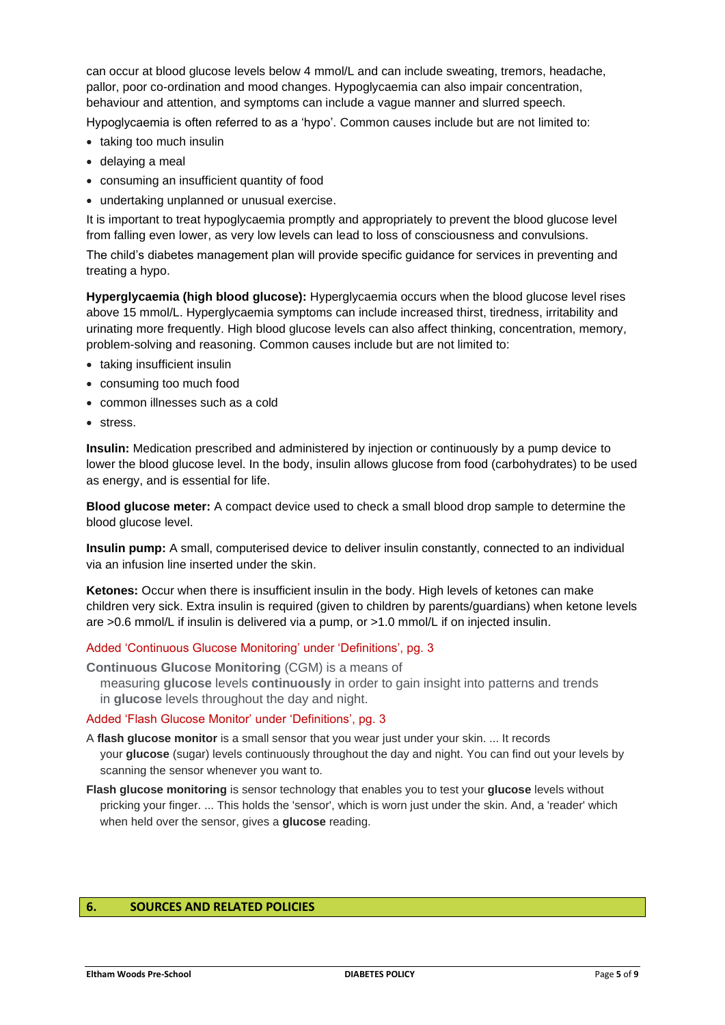can occur at blood glucose levels below 4 mmol/L and can include sweating, tremors, headache, pallor, poor co-ordination and mood changes. Hypoglycaemia can also impair concentration, behaviour and attention, and symptoms can include a vague manner and slurred speech.

Hypoglycaemia is often referred to as a 'hypo'. Common causes include but are not limited to:

- taking too much insulin
- delaying a meal
- consuming an insufficient quantity of food
- undertaking unplanned or unusual exercise.

It is important to treat hypoglycaemia promptly and appropriately to prevent the blood glucose level from falling even lower, as very low levels can lead to loss of consciousness and convulsions.

The child's diabetes management plan will provide specific guidance for services in preventing and treating a hypo.

**Hyperglycaemia (high blood glucose):** Hyperglycaemia occurs when the blood glucose level rises above 15 mmol/L. Hyperglycaemia symptoms can include increased thirst, tiredness, irritability and urinating more frequently. High blood glucose levels can also affect thinking, concentration, memory, problem-solving and reasoning. Common causes include but are not limited to:

- taking insufficient insulin
- consuming too much food
- common illnesses such as a cold
- stress.

**Insulin:** Medication prescribed and administered by injection or continuously by a pump device to lower the blood glucose level. In the body, insulin allows glucose from food (carbohydrates) to be used as energy, and is essential for life.

**Blood glucose meter:** A compact device used to check a small blood drop sample to determine the blood glucose level.

**Insulin pump:** A small, computerised device to deliver insulin constantly, connected to an individual via an infusion line inserted under the skin.

**Ketones:** Occur when there is insufficient insulin in the body. High levels of ketones can make children very sick. Extra insulin is required (given to children by parents/guardians) when ketone levels are >0.6 mmol/L if insulin is delivered via a pump, or >1.0 mmol/L if on injected insulin.

Added 'Continuous Glucose Monitoring' under 'Definitions', pg. 3

**Continuous Glucose Monitoring** (CGM) is a means of measuring **glucose** levels **continuously** in order to gain insight into patterns and trends in **glucose** levels throughout the day and night.

Added 'Flash Glucose Monitor' under 'Definitions', pg. 3

- A **flash glucose monitor** is a small sensor that you wear just under your skin. ... It records your **glucose** (sugar) levels continuously throughout the day and night. You can find out your levels by scanning the sensor whenever you want to.
- **Flash glucose monitoring** is sensor technology that enables you to test your **glucose** levels without pricking your finger. ... This holds the 'sensor', which is worn just under the skin. And, a 'reader' which when held over the sensor, gives a **glucose** reading.

#### **6. SOURCES AND RELATED POLICIES**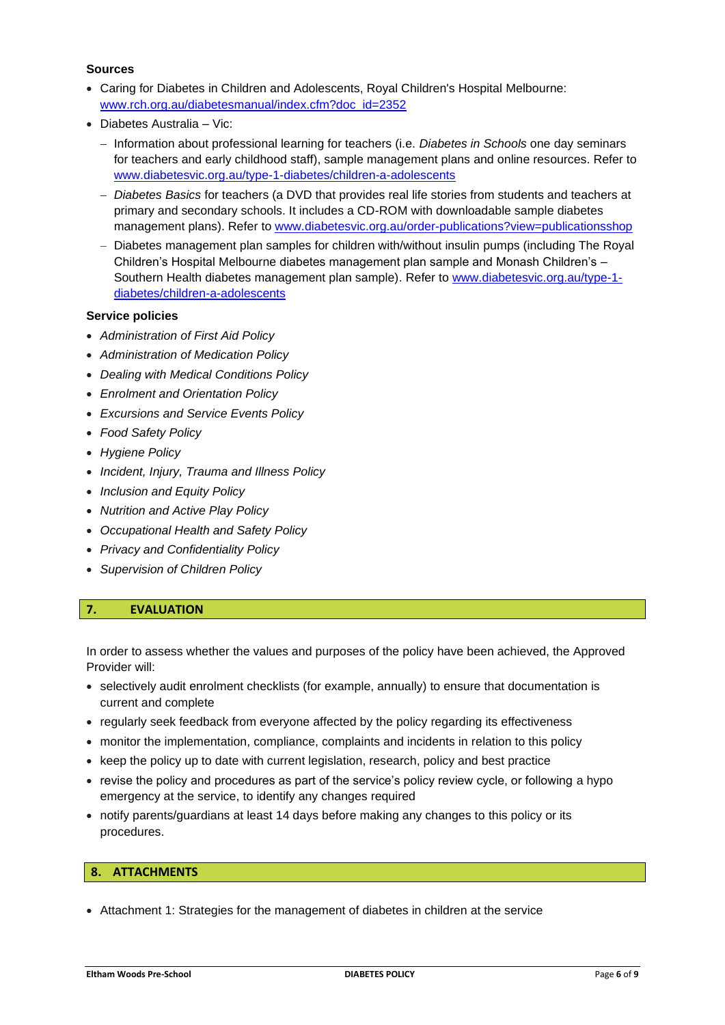#### **Sources**

- Caring for Diabetes in Children and [Adolescents, Royal Children's Hospital](http://www.rch.org.au/diabetesmanual/index.cfm?doc_id=2352) Melbourne: [www.rch.org.au/diabetesmanual/index.cfm?doc\\_id=2352](file:///C:/Users/Lisa/Documents/_THE%20TEMPLATE%20SHOP/_CLIENTS/KPV/Completed%20Policies/www.rch.org.au/diabetesmanual/index.cfm%3fdoc_id=2352)
- Diabetes Australia Vic:
	- − Information about professional learning for teachers (i.e. *Diabetes in Schools* one day seminars for teachers and early childhood staff), sample management plans and online resources. Refer to [www.diabetesvic.org.au/type-1-diabetes/children-a-adolescents](http://www.diabetesvic.org.au/type-1-diabetes/children-a-adolescents)
	- − *Diabetes Basics* for teachers (a DVD that provides real life stories from students and teachers at primary and secondary schools. It includes a CD-ROM with downloadable sample diabetes management plans). Refer to [www.diabetesvic.org.au/order-publications?view=publicationsshop](http://www.diabetesvic.org.au/order-publications?view=publicationsshop)
	- − Diabetes management plan samples for children with/without insulin pumps (including The Royal Children's Hospital Melbourne diabetes management plan sample and Monash Children's – Southern Health diabetes management plan sample). Refer to [www.diabetesvic.org.au/type-1](file:///C:/Users/Lisa/Documents/_THE%20TEMPLATE%20SHOP/_CLIENTS/KPV/Completed%20Policies/www.diabetesvic.org.au/type-1-diabetes/children-a-adolescents) [diabetes/children-a-adolescents](file:///C:/Users/Lisa/Documents/_THE%20TEMPLATE%20SHOP/_CLIENTS/KPV/Completed%20Policies/www.diabetesvic.org.au/type-1-diabetes/children-a-adolescents)

## **Service policies**

- *Administration of First Aid Policy*
- *Administration of Medication Policy*
- *Dealing with Medical Conditions Policy*
- *Enrolment and Orientation Policy*
- *Excursions and Service Events Policy*
- *Food Safety Policy*
- *Hygiene Policy*
- *Incident, Injury, Trauma and Illness Policy*
- *Inclusion and Equity Policy*
- *Nutrition and Active Play Policy*
- *Occupational Health and Safety Policy*
- *Privacy and Confidentiality Policy*
- *Supervision of Children Policy*

## **7. EVALUATION**

In order to assess whether the values and purposes of the policy have been achieved, the Approved Provider will:

- selectively audit enrolment checklists (for example, annually) to ensure that documentation is current and complete
- regularly seek feedback from everyone affected by the policy regarding its effectiveness
- monitor the implementation, compliance, complaints and incidents in relation to this policy
- keep the policy up to date with current legislation, research, policy and best practice
- revise the policy and procedures as part of the service's policy review cycle, or following a hypo emergency at the service, to identify any changes required
- notify parents/guardians at least 14 days before making any changes to this policy or its procedures.

## **8. ATTACHMENTS**

• Attachment 1: Strategies for the management of diabetes in children at the service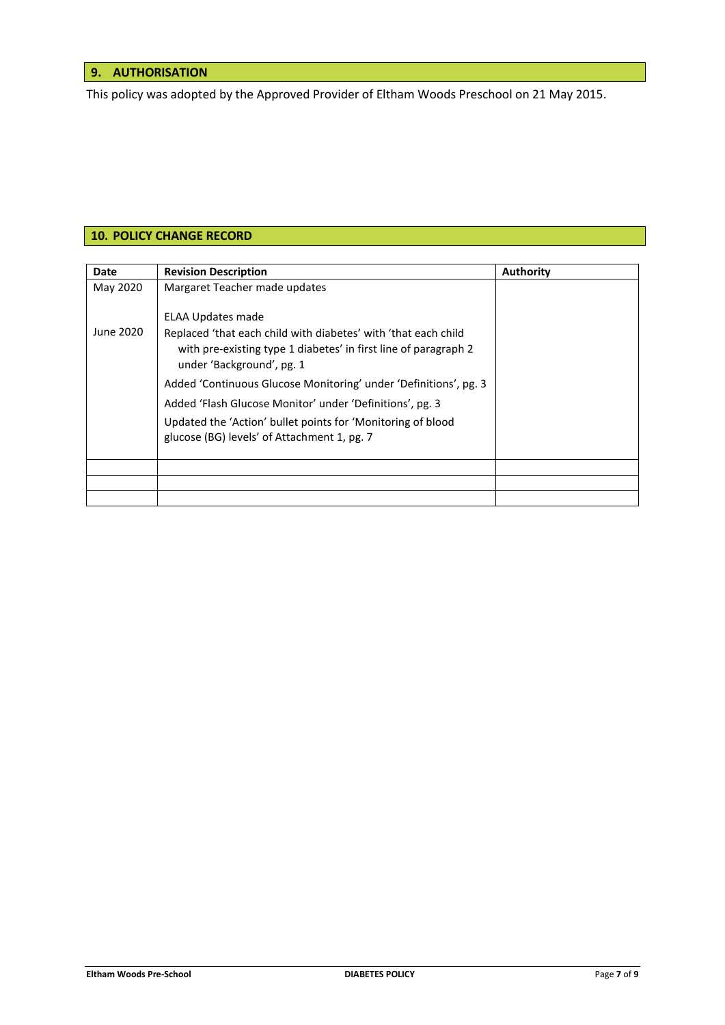# **9. AUTHORISATION**

This policy was adopted by the Approved Provider of Eltham Woods Preschool on 21 May 2015.

## **10. POLICY CHANGE RECORD**

| Date      | <b>Revision Description</b>                                                                                                                                                                                                                                                                                                                                                                                                       | <b>Authority</b> |
|-----------|-----------------------------------------------------------------------------------------------------------------------------------------------------------------------------------------------------------------------------------------------------------------------------------------------------------------------------------------------------------------------------------------------------------------------------------|------------------|
| May 2020  | Margaret Teacher made updates                                                                                                                                                                                                                                                                                                                                                                                                     |                  |
| June 2020 | ELAA Updates made<br>Replaced 'that each child with diabetes' with 'that each child<br>with pre-existing type 1 diabetes' in first line of paragraph 2<br>under 'Background', pg. 1<br>Added 'Continuous Glucose Monitoring' under 'Definitions', pg. 3<br>Added 'Flash Glucose Monitor' under 'Definitions', pg. 3<br>Updated the 'Action' bullet points for 'Monitoring of blood<br>glucose (BG) levels' of Attachment 1, pg. 7 |                  |
|           |                                                                                                                                                                                                                                                                                                                                                                                                                                   |                  |
|           |                                                                                                                                                                                                                                                                                                                                                                                                                                   |                  |
|           |                                                                                                                                                                                                                                                                                                                                                                                                                                   |                  |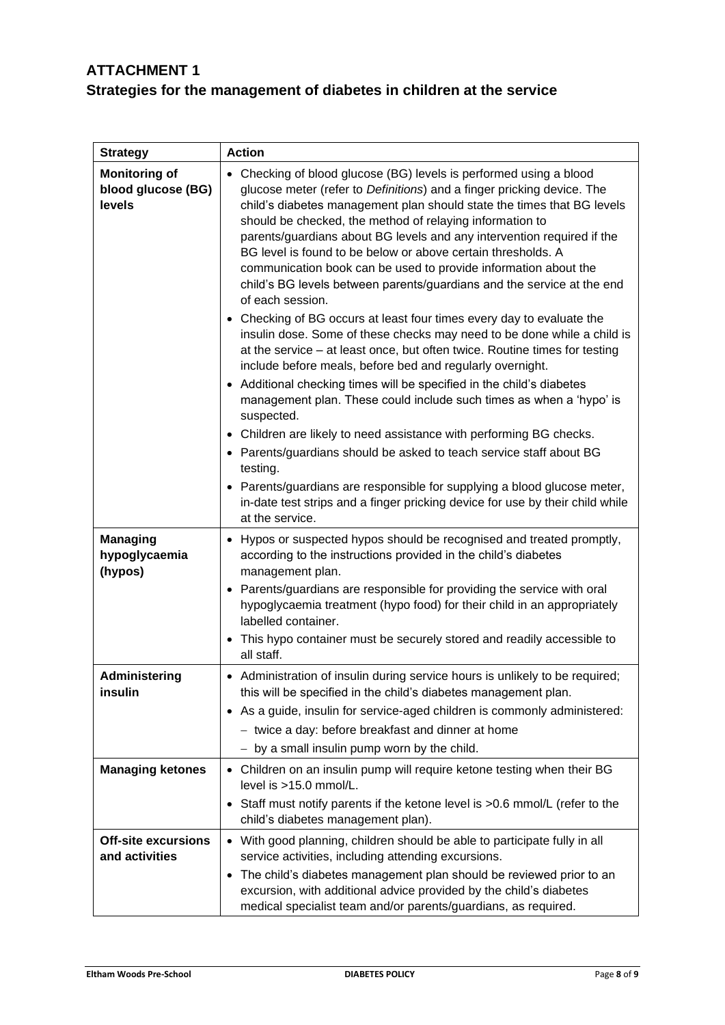# **ATTACHMENT 1 Strategies for the management of diabetes in children at the service**

| <b>Strategy</b>                                      | <b>Action</b>                                                                                                                                                                                                                                                                                                                                                                                                                                                                                                                                                                                                                                                                     |  |
|------------------------------------------------------|-----------------------------------------------------------------------------------------------------------------------------------------------------------------------------------------------------------------------------------------------------------------------------------------------------------------------------------------------------------------------------------------------------------------------------------------------------------------------------------------------------------------------------------------------------------------------------------------------------------------------------------------------------------------------------------|--|
| <b>Monitoring of</b><br>blood glucose (BG)<br>levels | • Checking of blood glucose (BG) levels is performed using a blood<br>glucose meter (refer to Definitions) and a finger pricking device. The<br>child's diabetes management plan should state the times that BG levels<br>should be checked, the method of relaying information to<br>parents/guardians about BG levels and any intervention required if the<br>BG level is found to be below or above certain thresholds. A<br>communication book can be used to provide information about the<br>child's BG levels between parents/guardians and the service at the end<br>of each session.<br>Checking of BG occurs at least four times every day to evaluate the<br>$\bullet$ |  |
|                                                      | insulin dose. Some of these checks may need to be done while a child is<br>at the service - at least once, but often twice. Routine times for testing<br>include before meals, before bed and regularly overnight.<br>Additional checking times will be specified in the child's diabetes<br>$\bullet$                                                                                                                                                                                                                                                                                                                                                                            |  |
|                                                      | management plan. These could include such times as when a 'hypo' is<br>suspected.                                                                                                                                                                                                                                                                                                                                                                                                                                                                                                                                                                                                 |  |
|                                                      | Children are likely to need assistance with performing BG checks.<br>٠<br>• Parents/guardians should be asked to teach service staff about BG<br>testing.                                                                                                                                                                                                                                                                                                                                                                                                                                                                                                                         |  |
|                                                      | Parents/guardians are responsible for supplying a blood glucose meter,<br>٠<br>in-date test strips and a finger pricking device for use by their child while<br>at the service.                                                                                                                                                                                                                                                                                                                                                                                                                                                                                                   |  |
| <b>Managing</b><br>hypoglycaemia<br>(hypos)          | Hypos or suspected hypos should be recognised and treated promptly,<br>٠<br>according to the instructions provided in the child's diabetes<br>management plan.                                                                                                                                                                                                                                                                                                                                                                                                                                                                                                                    |  |
|                                                      | Parents/guardians are responsible for providing the service with oral<br>$\bullet$<br>hypoglycaemia treatment (hypo food) for their child in an appropriately<br>labelled container.                                                                                                                                                                                                                                                                                                                                                                                                                                                                                              |  |
|                                                      | This hypo container must be securely stored and readily accessible to<br>all staff.                                                                                                                                                                                                                                                                                                                                                                                                                                                                                                                                                                                               |  |
| Administering<br>insulin                             | • Administration of insulin during service hours is unlikely to be required;<br>this will be specified in the child's diabetes management plan.                                                                                                                                                                                                                                                                                                                                                                                                                                                                                                                                   |  |
|                                                      | • As a guide, insulin for service-aged children is commonly administered:<br>- twice a day: before breakfast and dinner at home                                                                                                                                                                                                                                                                                                                                                                                                                                                                                                                                                   |  |
|                                                      | - by a small insulin pump worn by the child.                                                                                                                                                                                                                                                                                                                                                                                                                                                                                                                                                                                                                                      |  |
| <b>Managing ketones</b>                              | • Children on an insulin pump will require ketone testing when their BG<br>level is >15.0 mmol/L.                                                                                                                                                                                                                                                                                                                                                                                                                                                                                                                                                                                 |  |
|                                                      | Staff must notify parents if the ketone level is >0.6 mmol/L (refer to the<br>child's diabetes management plan).                                                                                                                                                                                                                                                                                                                                                                                                                                                                                                                                                                  |  |
| <b>Off-site excursions</b><br>and activities         | • With good planning, children should be able to participate fully in all<br>service activities, including attending excursions.                                                                                                                                                                                                                                                                                                                                                                                                                                                                                                                                                  |  |
|                                                      | The child's diabetes management plan should be reviewed prior to an<br>٠<br>excursion, with additional advice provided by the child's diabetes<br>medical specialist team and/or parents/guardians, as required.                                                                                                                                                                                                                                                                                                                                                                                                                                                                  |  |